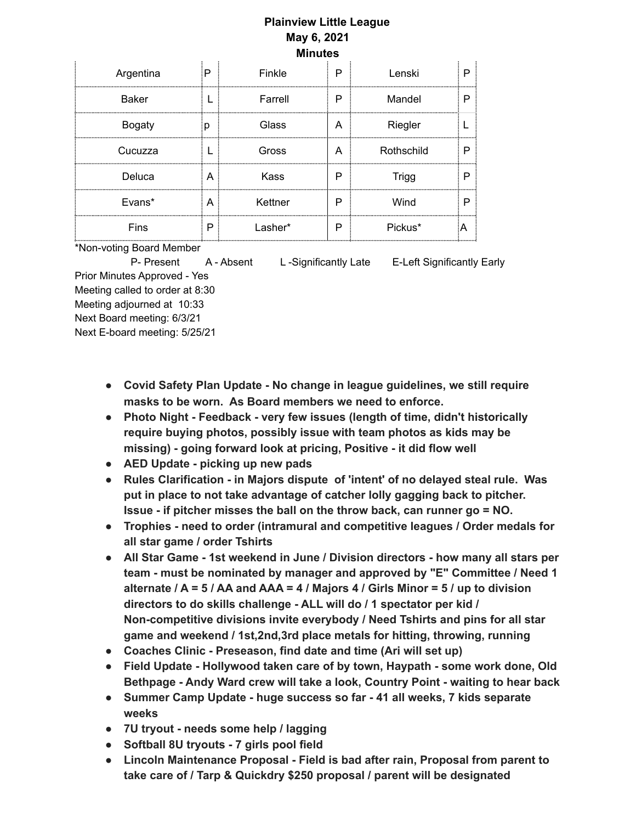## **Plainview Little League May 6, 2021 Minutes**

| Argentina     | P | Finkle  | P | Lenski       |  |
|---------------|---|---------|---|--------------|--|
| <b>Baker</b>  |   | Farrell | P | Mandel       |  |
| <b>Bogaty</b> | b | Glass   | А | Riegler      |  |
| Cucuzza       |   | Gross   | А | Rothschild   |  |
| Deluca        | A | Kass    | Р | <b>Trigg</b> |  |
| Evans*        | A | Kettner | P | Wind         |  |
| Fins          | P | Lasher* | P | Pickus*      |  |

\*Non-voting Board Member

P- Present A - Absent L-Significantly Late E-Left Significantly Early

Prior Minutes Approved - Yes Meeting called to order at 8:30 Meeting adjourned at 10:33 Next Board meeting: 6/3/21 Next E-board meeting: 5/25/21

- **● Covid Safety Plan Update - No change in league guidelines, we still require masks to be worn. As Board members we need to enforce.**
- **● Photo Night - Feedback - very few issues (length of time, didn't historically require buying photos, possibly issue with team photos as kids may be missing) - going forward look at pricing, Positive - it did flow well**
- **● AED Update - picking up new pads**
- **● Rules Clarification - in Majors dispute of 'intent' of no delayed steal rule. Was put in place to not take advantage of catcher lolly gagging back to pitcher. Issue - if pitcher misses the ball on the throw back, can runner go = NO.**
- **● Trophies - need to order (intramural and competitive leagues / Order medals for all star game / order Tshirts**
- **● All Star Game - 1st weekend in June / Division directors - how many all stars per team - must be nominated by manager and approved by "E" Committee / Need 1** alternate /  $A = 5$  / AA and AAA = 4 / Majors 4 / Girls Minor =  $5$  / up to division **directors to do skills challenge - ALL will do / 1 spectator per kid / Non-competitive divisions invite everybody / Need Tshirts and pins for all star game and weekend / 1st,2nd,3rd place metals for hitting, throwing, running**
- **● Coaches Clinic - Preseason, find date and time (Ari will set up)**
- **● Field Update - Hollywood taken care of by town, Haypath - some work done, Old Bethpage - Andy Ward crew will take a look, Country Point - waiting to hear back**
- **● Summer Camp Update - huge success so far - 41 all weeks, 7 kids separate weeks**
- **● 7U tryout - needs some help / lagging**
- **● Softball 8U tryouts - 7 girls pool field**
- **● Lincoln Maintenance Proposal - Field is bad after rain, Proposal from parent to take care of / Tarp & Quickdry \$250 proposal / parent will be designated**